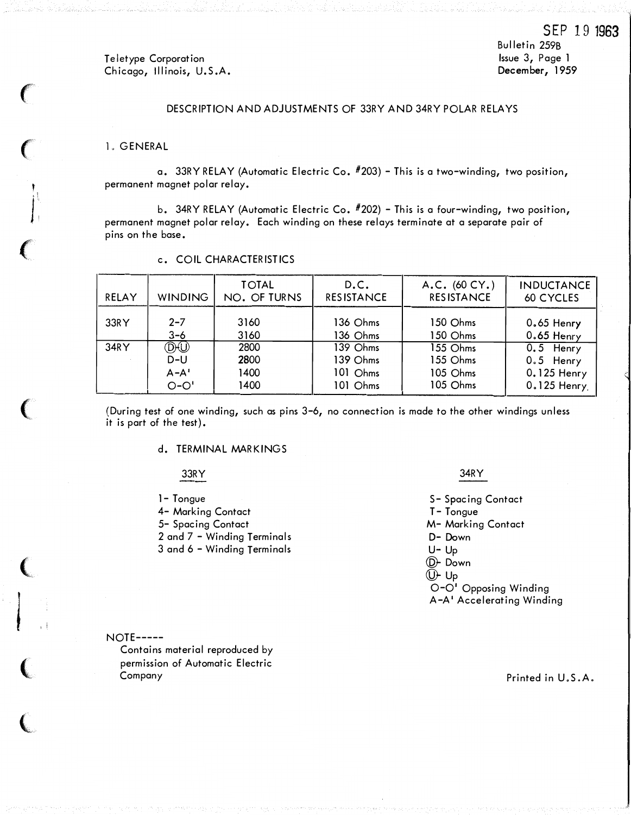Teletype Corporation Chicago, Illinois, U.S.A. Bulletin 259B Issue 3, Page 1 December, 1959

# DESCRIPTION AND ADJUSTMENTS OF 33RY AND 34RY POLAR RELAYS

### 1. GENERAL

<sup>r</sup>

**International Contract Contract Contract Contract Contract Contract Contract Contract Contract Contract Contract Contract Contract Contract Contract Contract Contract Contract Contract Contract Contract Contract Contract** 

 $\sim$ 

a. 33RY RELAY (Automatic Electric Co.  $#203$ ) - This is a two-winding, two position, permanent magnet polar relay.

b. 34RY RELAY (Automatic Electric Co. #202) - This is a four-winding, two position, permanent magnet polar relay. Each winding on these relays terminate at a separate pair of pins on the base.

| RELAY | <b>WINDING</b>     | <b>TOTAL</b><br>NO. OF TURNS | D.C.<br><b>RESISTANCE</b> | A.C. (60 CY.)<br><b>RESISTANCE</b> | <b>INDUCTANCE</b><br>60 CYCLES |
|-------|--------------------|------------------------------|---------------------------|------------------------------------|--------------------------------|
| 33RY  | $2 - 7$<br>$3 - 6$ | 3160<br>3160                 | 136 Ohms<br>136 Ohms      | 150 Ohms<br>150 Ohms               | $0.65$ Henry<br>$0.65$ Henry   |
| 34RY  | DW                 | 2800                         | 139 Ohms                  | 155 Ohms                           | $0.5$ Henry                    |
|       | D-U                | 2800                         | 139 Ohms                  | 155 Ohms                           | $0.5$ Henry                    |
|       | $A - A'$           | 1400                         | 101 Ohms                  | 105 Ohms                           | 0.125 Henry                    |
|       | $O-O'$             | 1400                         | 101 Ohms                  | 105 Ohms                           | 0.125 Henry.                   |

## c. COIL CHARACTERISTICS

(During test of one winding, such as pins 3-6, no connection is made to the other windings unless it is part of the test).

## d. TERMINAL MARKINGS

### 33RY

- 1- Tongue
- 4- Marking Contact
- 5- Spacing Contact
- 2 and 7 -Winding Terminals

3 and 6 -Winding Terminals

#### 34RY

S- Spacing Contact T- Tongue M- Marking Contact D- Down u- Up @- Down  $(D<sub>F</sub>$  Up O-o• Opposing Winding A-A1 Accelerating Winding

NOTE-----

Contains material reproduced by permission of Automatic Electric Company

Printed in U.S.A.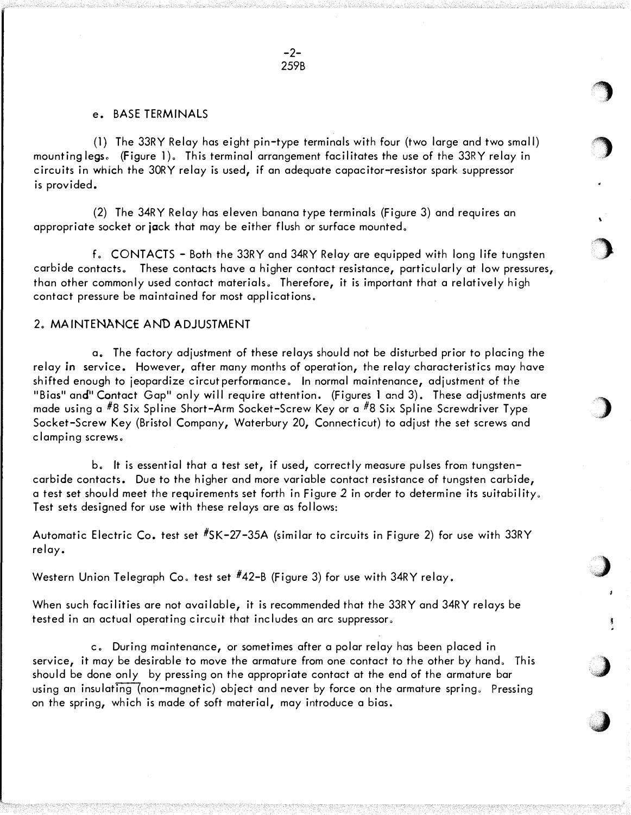$\bigcirc$ 

'')

\

 $\bigcup$ 

J

 $\bigcup$ 

,;)

## e. BASE TERMINALS

(1) The 33RY Relay has eight pin-type terminals with four (two large and two small) mounting legs。(Figure 1)。This terminal arrangement facilitates the use of the 33RY relay in circuits in which the 30RY relay is used, if an adequate capacitor-resistor spark suppressor is provided.

(2) The 34RY Relay has eleven banana type terminals (Figure 3) and requires an appropriate socket or jack that may be either flush or surface mounted.

f. CONTACTS - Both the 33RY and 34RY Relay are equipped with long life tungsten carbide contacts. These contacts have a higher contact resistance, particularly at low pressures, than other commonly used contact materials. Therefore, it is important that a relatively high contact pressure be maintained for most applications.

# 2. MAINTENANCE AND ADJUSTMENT

a. The factory adjustment of these relays should not be disturbed prior to placing the relay in service. However, after many months of operation, the relay characteristics may have shifted enough to jeopardize circut performance. In normal maintenance, adjustment of the "Bias" and" Contact Gap" only will require attention. (Figures 1 and 3). These adjustments are made using a  $#8$  Six Spline Short-Arm Socket-Screw Key or a  $#8$  Six Spline Screwdriver Type Socket-Screw Key (Bristol Company, Waterbury 20, Connecticut) to adjust the set screws and clamping screws.

b. It is essential that a test set, if used, correctly measure pulses from tungstencarbide contacts. Due to the higher and more variable contact resistance of tungsten carbide, a test set should meet the requirements set forth in Figure 2 in order to determine its suitability. Test sets designed for use with these relays are as follows:

Automatic Electric Co, test set  $*5K-27-35A$  (similar to circuits in Figure 2) for use with 33RY relay.

Western Union Telegraph Co. test set  $#42-$ B (Figure 3) for use with 34RY relay.

When such facilities are not available, it is recommended that the 33RY and 34RY relays be tested in an actual operating circuit that includes an arc suppressor.

c. During maintenance, or sometimes after a polar relay has been placed in service, it may be desirable to move the armature from one contact to the other by hand. This should be done only by pressing on the appropriate contact at the end of the armature bar using an insulating (non-magnetic) object and never by force on the armature spring. Pressing on the spring, which is made of soft material, may introduce a bias.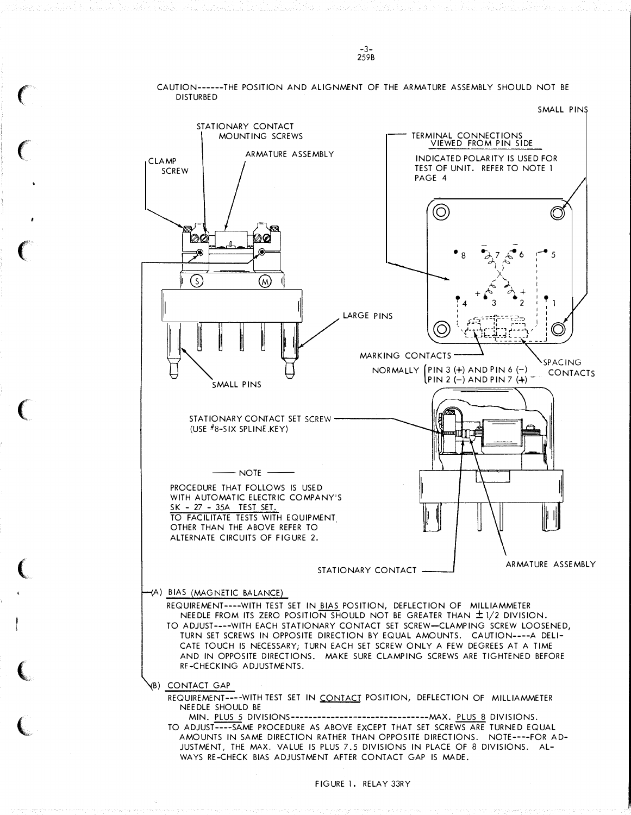DISTURBED SMALL PINS STATIONARY CONTACT TERMINAL CONNECTIONS MOUNTING SCREWS VIEWED FROM PIN SIDE ARMATURE ASSEMBLY INDICATED POLARITY IS USED FOR CLAMP TEST OF UNIT. REFER TO NOTE 1 **SCREW** PAGE 4 @ Ø ØØ 00  $\bullet$  8...  $\frac{1}{2}$ ,  $\frac{1}{2}$ ,  $\frac{1}{2}$ , 6 1-5 I I  $\times$  $\widehat{\mathcal{S}}$ @  $+ \, \delta \, \bigg\{ \bigg\}^2 + \,$ 3 2 LARGE PINS III **WALL PINS**  $MARKING$  CONTACTS  $\leftarrow$  $NORMALLY (PIN 3 (+) AND PIN 6 (+) CONIACTS)$  $\text{PIN 2}$   $\text{(-)}$  AND PIN 7  $\text{(+)}$ STATIONARY CONTACT SET SCREW -(USE  $#8-SIX$  SPLINE KEY)  $-$  NOTE  $-$ PROCEDURE THAT FOLLOWS IS USED WITH AUTOMATIC ELECTRIC COMPANY'S SK - 27 - 35A TEST SET. TO FACILITATE TESTS WITH EQUIPMENT. OTHER THAN THE ABOVE REFER TO ALTERNATE CIRCUITS OF FIGURE 2. ARMATURE ASSEMBLY STATIONARY CONTACT A) BIAS (MAGNETIC BALANCE) REQUIREMENT----WITH TEST SET IN BIAS POSITION, DEFLECTION OF MILLIAMMETER NEEDLE FROM ITS ZERO POSITION SHOULD NOT BE GREATER THAN ± 1/2 DIVISION. TO ADJUST----WITH EACH STATIONARY CONTACT SET SCREW-CLAMPING SCREW LOOSENED, TURN SET SCREWS IN OPPOSITE DIRECTION BY EQUAL AMOUNTS. CAUTION----A DELI-CATE TOUCH IS NECESSARY; TURN EACH SET SCREW ONLY A FEW DEGREES AT A TIME AND IN OPPOSITE DIRECTIONS. MAKE SURE CLAMPING SCREWS ARE TIGHTENED BEFORE RF-CHECKING ADJUSTMENTS. (B) CONTACT GAP REQUIREMENT----WITH TEST SET IN CONTACT POSITION, DEFLECTION OF MILLIAMMETER NEEDLE SHOULD BE MIN. PLUS 5 DIVISIONS-------------------------------MAX. PLUS 8 DIVISIONS. TO ADJUST----SAME PROCEDURE AS ABOVE EXCEPT THAT SET SCREWS ARE TURNED EQUAL AMOUNTS IN SAME DIRECTION RATHER THAN OPPOSITE DIRECTIONS. NOTE----FOR AD-JUSTMENT, THE MAX. VALUE IS PLUS 7.5 DIVISIONS IN PLACE OF 8 DIVISIONS. AL-WAYS RE-cHECK BIAS ADJUSTMENT AFTER CONTACT GAP IS MADE.

CAUTION------THE POSITION AND ALIGNMENT OF THE ARMATURE ASSEMBLY SHOULD NOT BE

 $\big($ 

 $\big($ 

 $\big($ 

 $\big($ 

 $\big($ 

 $\big($ 

 $\overline{\mathbb{C}}$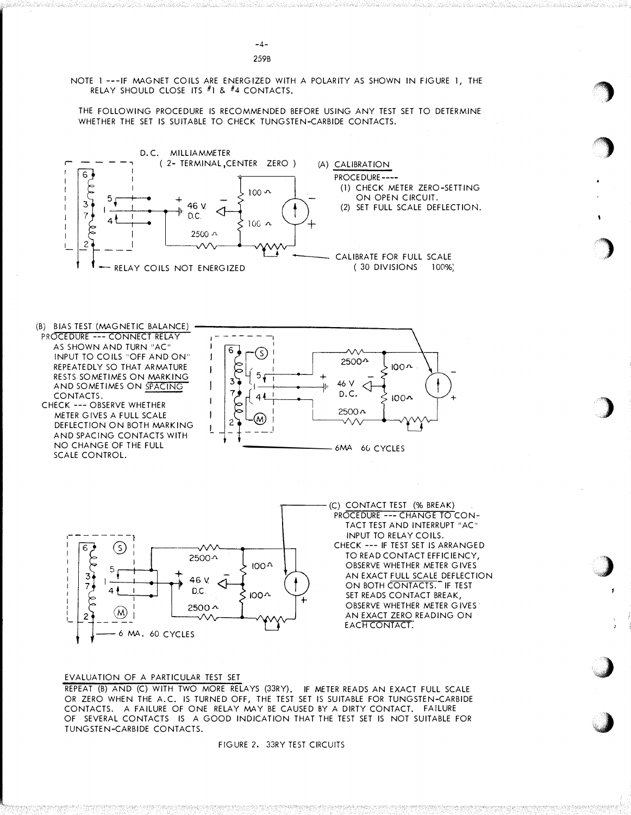NOTE 1 ---IF MAGNET COILS ARE ENERGIZED WITH A POLARITY AS SHOWN IN FIGURE 1, THE RELAY SHOULD CLOSE ITS #1 & #4 CONTACTS.

THE FOLLOWING PROCEDURE IS RECOMMENDED BEFORE USING ANY TEST SET TO DETERMINE WHETHER THE SET IS SUITABLE TO CHECK TUNGSTEN-CARBIDE CONTACTS.



(B) BIAS TEST (MAGNETIC BALANCE) PROCEDURE --- CONNECT RELAY

AS SHOWN AND TURN "AC" INPUT TO COILS "OFF AND ON" REPEATEDLY SO THAT ARMATURE RESTS SOMETIMES ON MARKING AND SOMETIMES ON SPACING CONTACTS.

CHECK --- OBSERVE WHETHER METER GIVES A FULL SCALE DEFLECTION ON BOTH MARKING AND SPACING CONTACTS WITH NO CHANGE OF THE FULL SCALE CONTROL.





(C) CONTACT TEST (% BREAK) PROCEDURE --- CHANGE TO CON-TACT TEST AND INTERRUPT "AC" INPUT TO RELAY COILS. CHECK --- IF TEST SET IS ARRANGED TO READ CONTACT EFFICIENCY, OBSERVE WHETHER METER GIVES AN EXACT FULL SCALE DEFLECTION ON BOTH CONTACTS." IF TEST SET READS CONTACT BREAK, OBSERVE WHETHER METER GIVES AN EXACT ZERO READING ON EACH CONTACT.

'�

 $\overline{\mathcal{L}}$ 

)

**)** 

 $\sum$ 

.J

**. best control** 

#### EVALUATION OF A PARTICULAR TEST SET

REPEAT (B) AND (C) WITH TWO MORE RELAYS (33RY). IF METER READS AN EXACT FULL SCALE OR ZERO WHEN THE A.C. IS TURNED OFF, THE TEST SET IS SUITABLE FOR TUNGSTEN-CARBIDE CONTACTS. A FAILURE OF ONE RELAY MAY BE CAUSED BY A DIRTY CONTACT. FAILURE OF SEVERAL CONTACTS IS A GOOD INDICATION THAT THE TEST SET IS NOT SUITABLE FOR TUNGSTEN-CARBIDE CONTACTS.

FIGURE 2. 33RY TEST CIRCUITS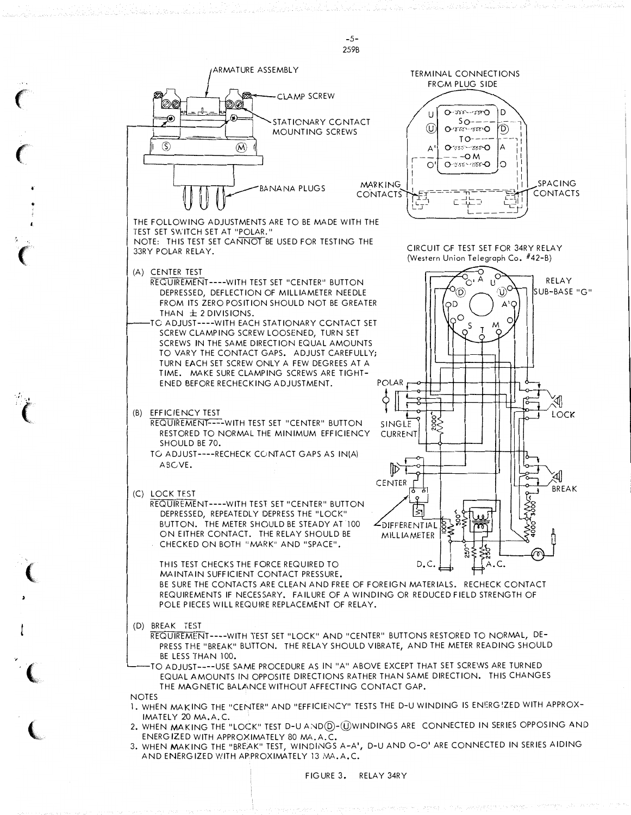

-5-

•

'•

3. WHEN MAKING THE "BREAK" TEST, WINDINGS A-A', D-U AND O-O' ARE CONNECTED IN SERIES AIDING AND ENERGIZED WITH APPROXIMATELY 13 MA.A.C.